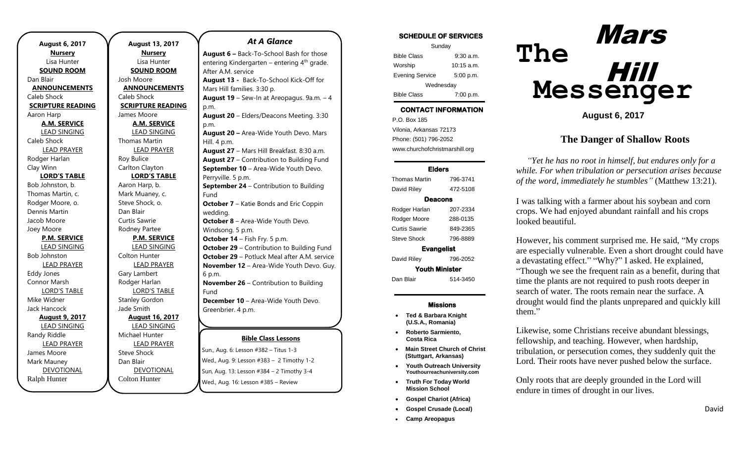| <b>August 6, 2017</b>    |  |  |
|--------------------------|--|--|
| <b>Nursery</b>           |  |  |
| Lisa Hunter              |  |  |
| <b>SOUND ROOM</b>        |  |  |
| Dan Blair                |  |  |
| <b>ANNOUNCEMENTS</b>     |  |  |
| Caleb Shock              |  |  |
| <b>SCRIPTURE READING</b> |  |  |
| Aaron Harp               |  |  |
| <b>A.M. SERVICE</b>      |  |  |
| LEAD SINGING             |  |  |
| Caleb Shock              |  |  |
| <b>LEAD PRAYER</b>       |  |  |
| Rodger Harlan            |  |  |
| Clay Winn                |  |  |
| <b>LORD'S TABLE</b>      |  |  |
| Bob Johnston, b.         |  |  |
| Thomas Martin, c.        |  |  |
| Rodger Moore, o.         |  |  |
| Dennis Martin            |  |  |
| Jacob Moore              |  |  |
| Joey Moore               |  |  |
| <b>P.M. SERVICE</b>      |  |  |
| <b>LEAD SINGING</b>      |  |  |
| <b>Bob Johnston</b>      |  |  |
| <b>LEAD PRAYER</b>       |  |  |
| <b>Eddy Jones</b>        |  |  |
| Connor Marsh             |  |  |
| <b>LORD'S TABLE</b>      |  |  |
| Mike Widner              |  |  |
| Jack Hancock             |  |  |
| <b>August 9, 2017</b>    |  |  |
| <b>LEAD SINGING</b>      |  |  |
| Randy Riddle             |  |  |
| <b>LEAD PRAYER</b>       |  |  |
| James Moore              |  |  |
| Mark Mauney              |  |  |
| <b>DEVOTIONAL</b>        |  |  |
| Ralph Hunter             |  |  |

.

**August 13, 2017 Nursery** Lisa Hunter **SOUND ROOM** Josh Moore **ANNOUNCEMENTS** Caleb Shock **SCRIPTURE READING** James Moore **A.M. SERVICE** LEAD SINGING Thomas Martin LEAD PRAYER Roy Bulice Carlton Clayton **LORD'S TABLE** Aaron Harp, b. Mark Muaney, c. Steve Shock, o. Dan Blair Curtis Sawrie Rodney Partee **P.M. SERVICE** LEAD SINGING Colton Hunter LEAD PRAYER Gary Lambert Rodger Harlan LORD'S TABLE Stanley Gordon Jade Smith **August 16, 2017** LEAD SINGING Michael Hunter LEAD PRAYER Steve Shock Dan Blair DEVOTIONAL

Colton Hunter

#### *At A Glance*

**Bible Class Lessons Sun., Aug. 6: Lesson #382 – Titus 1-3 August 6 –** Back-To-School Bash for those entering Kindergarten – entering  $4<sup>th</sup>$  grade. After A.M. service **August 13 -** Back-To-School Kick-Off for Mars Hill families. 3:30 p. **August 19** – Sew-In at Areopagus. 9a.m. – 4 p.m. **August 20** – Elders/Deacons Meeting. 3:30 p.m. **August 20 –** Area-Wide Youth Devo. Mars Hill. 4 p.m. **August 27** – Mars Hill Breakfast. 8:30 a.m. **August 27** – Contribution to Building Fund **September 10** – Area-Wide Youth Devo. Perryville. 5 p.m. **September 24** – Contribution to Building Fund **October 7** – Katie Bonds and Eric Coppin wedding. **October 8** – Area-Wide Youth Devo. Windsong. 5 p.m. **October 14** – Fish Fry. 5 p.m. **October 29** – Contribution to Building Fund **October 29** – Potluck Meal after A.M. service **November 12** – Area-Wide Youth Devo. Guy. 6 p.m. **November 26** – Contribution to Building Fund **December 10** – Area-Wide Youth Devo. Greenbrier. 4 p.m. **December 31**  $-$  **Contribution**  $\mathsf{Dunl}_n$  Aug. 0. Lesson  $\# \mathsf{DOL} = \mathsf{Int}_n$ 

Wed., Aug. 9: Lesson #383 – 2 Timothy 1-2 Sun, Aug. 13: Lesson #384 - 2 Timothy 3-4 Wed., Aug. 16: Lesson #385 – Review

p.m.

#### SCHEDULE OF SERVICES

| Sunday                 |              |  |
|------------------------|--------------|--|
| <b>Bible Class</b>     | $9:30$ a.m.  |  |
| Worship                | $10:15$ a.m. |  |
| <b>Evening Service</b> | 5:00 p.m.    |  |
| Wednesday              |              |  |
| <b>Bible Class</b>     | 7:00 p.m.    |  |

## CONTACT INFORMATION

. .o. Box 166<br>Vilonia, Arkansas 72173 P.O. Box 185 Phone: (501) 796-2052 www.churchofchristmarshill.org

### Elders

| 796-3741              |  |  |  |
|-----------------------|--|--|--|
| 472-5108              |  |  |  |
| Deacons               |  |  |  |
| 207-2334              |  |  |  |
| 288-0135              |  |  |  |
| 849-2365              |  |  |  |
| 796-8889              |  |  |  |
| <b>Evangelist</b>     |  |  |  |
| 796-2052              |  |  |  |
| <b>Youth Minister</b> |  |  |  |
| 514-3450              |  |  |  |
|                       |  |  |  |

#### Missions

- **Ted & Barbara Knight (U.S.A., Romania)**
- **Roberto Sarmiento, Costa Rica**
- **Main Street Church of Christ (Stuttgart, Arkansas)**
- **Youth Outreach University Youthourreachuniversity.com**
- **Truth For Today World Mission School**
- **Gospel Chariot (Africa)**
- **Gospel Crusade (Local)**
- **Camp Areopagus**



**August 6, 2017**

## **The Danger of Shallow Roots**

*"Yet he has no root in himself, but endures only for a while. For when tribulation or persecution arises because of the word, immediately he stumbles"* (Matthew 13:21).

I was talking with a farmer about his soybean and corn crops. We had enjoyed abundant rainfall and his crops looked beautiful.

However, his comment surprised me. He said, "My crops are especially vulnerable. Even a short drought could have a devastating effect." "Why?" I asked. He explained, "Though we see the frequent rain as a benefit, during that time the plants are not required to push roots deeper in search of water. The roots remain near the surface. A drought would find the plants unprepared and quickly kill them."

Likewise, some Christians receive abundant blessings, fellowship, and teaching. However, when hardship, tribulation, or persecution comes, they suddenly quit the Lord. Their roots have never pushed below the surface.

Only roots that are deeply grounded in the Lord will endure in times of drought in our lives.